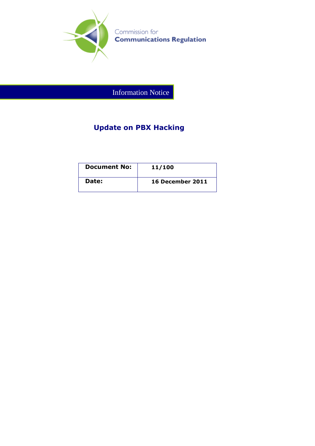

Information Notice

## **Update on PBX Hacking**

| <b>Document No:</b> | 11/100                  |
|---------------------|-------------------------|
| Date:               | <b>16 December 2011</b> |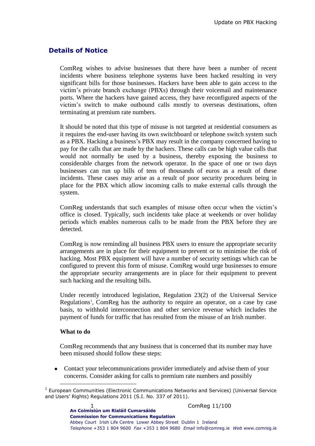## **Details of Notice**

ComReg wishes to advise businesses that there have been a number of recent incidents where business telephone systems have been hacked resulting in very significant bills for those businesses. Hackers have been able to gain access to the victim's private branch exchange (PBXs) through their voicemail and maintenance ports. Where the hackers have gained access, they have reconfigured aspects of the victim's switch to make outbound calls mostly to overseas destinations, often terminating at premium rate numbers.

It should be noted that this type of misuse is not targeted at residential consumers as it requires the end-user having its own switchboard or telephone switch system such as a PBX. Hacking a business's PBX may result in the company concerned having to pay for the calls that are made by the hackers. These calls can be high value calls that would not normally be used by a business, thereby exposing the business to considerable charges from the network operator. In the space of one or two days businesses can run up bills of tens of thousands of euros as a result of these incidents. These cases may arise as a result of poor security procedures being in place for the PBX which allow incoming calls to make external calls through the system.

ComReg understands that such examples of misuse often occur when the victim's office is closed. Typically, such incidents take place at weekends or over holiday periods which enables numerous calls to be made from the PBX before they are detected.

ComReg is now reminding all business PBX users to ensure the appropriate security arrangements are in place for their equipment to prevent or to minimise the risk of hacking. Most PBX equipment will have a number of security settings which can be configured to prevent this form of misuse. ComReg would urge businesses to ensure the appropriate security arrangements are in place for their equipment to prevent such hacking and the resulting bills.

Under recently introduced legislation, Regulation 23(2) of the Universal Service Regulations<sup>1</sup>, ComReg has the authority to require an operator, on a case by case basis, to withhold interconnection and other service revenue which includes the payment of funds for traffic that has resulted from the misuse of an Irish number.

## **What to do**

 $\overline{a}$ 

ComReg recommends that any business that is concerned that its number may have been misused should follow these steps:

Contact your telecommunications provider immediately and advise them of your concerns. Consider asking for calls to premium rate numbers and possibly

<sup>&</sup>lt;sup>1</sup> European Communities (Electronic Communications Networks and Services) (Universal Service and Users' Rights) Regulations 2011 (S.I. No. 337 of 2011).